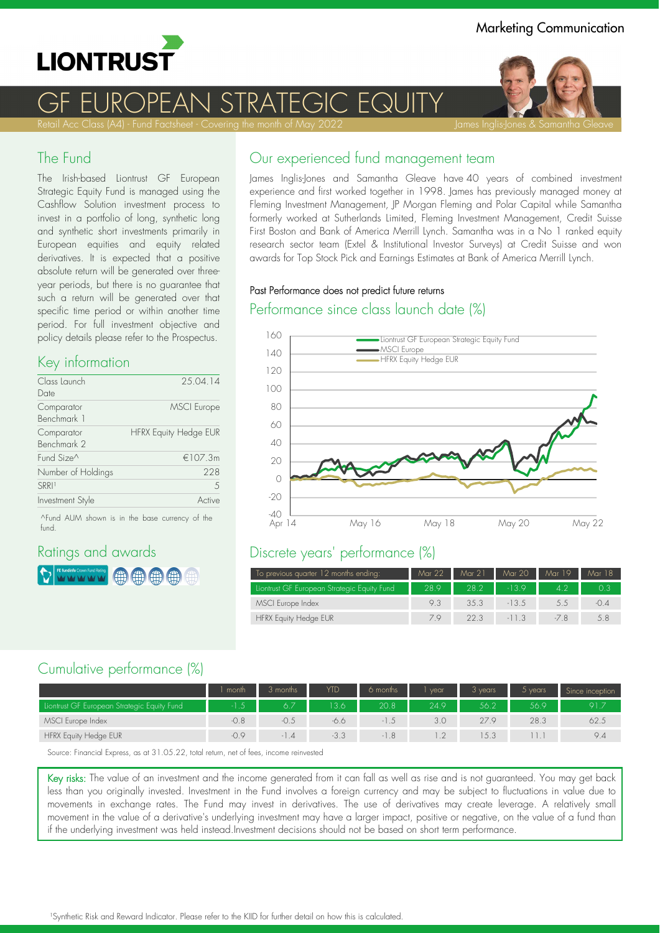

J STRATF(

Retail Acc Class (A4) - Fund Factsheet - Covering the month of May 2022 **James Inglis-Jones & Samantha Gleave** 

#### The Fund

The Irish.based Liontrust GF European Strategic Equity Fund is managed using the Cashflow Solution investment process to invest in a portfolio of long, synthetic long and synthetic short investments primarily in European equities and equity related derivatives. It is expected that a positive absolute return will be generated over threeyear periods, but there is no guarantee that such a return will be generated over that specific time period or within another time period. For full investment objective and policy details please refer to the Prospectus.

#### Key information

| Class Launch<br>Date      | 25.04.14                     |
|---------------------------|------------------------------|
| Comparator<br>Benchmark 1 | <b>MSCI</b> Europe           |
| Comparator<br>Benchmark 2 | <b>HFRX Equity Hedge EUR</b> |
| Fund Size <sup>^</sup>    | €107.3m                      |
| Number of Holdings        | 228                          |
| <b>SRRI1</b>              | $\overline{5}$               |
| Investment Style          | Active                       |

^Fund AUM shown is in the base currency of the fund.

### Ratings and awards



# Our experienced fund management team

James Inglis-Jones and Samantha Gleave have 40 years of combined investment experience and first worked together in 1998. James has previously managed money at Fleming Investment Management, JP Morgan Fleming and Polar Capital while Samantha formerly worked at Sutherlands Limited, Fleming Investment Management, Credit Suisse First Boston and Bank of America Merrill Lynch. Samantha was in a No 1 ranked equity research sector team (Extel & Institutional Investor Surveys) at Credit Suisse and won awards for Top Stock Pick and Earnings Estimates at Bank of America Merrill Lynch.

#### Past Performance does not predict future returns

#### Performance since class launch date (%)



## Discrete years' performance (%)

| To previous quarter 12 months ending:       | Mar 22 | Mar 21 | Mar 20  | Mar 19        | Mar 18  |
|---------------------------------------------|--------|--------|---------|---------------|---------|
| Liontrust GF European Strategic Equity Fund | 28.9   | 28.2   | $-13.9$ | 4.2           |         |
| MSCI Europe Index                           | 93     | 3.5.3  | $-13.5$ | $5.5^{\circ}$ | $-()$ 4 |
| <b>HFRX Equity Hedge EUR</b>                | 79     | 22.3   | $-11.3$ |               | 5.8     |

### Cumulative performance (%)

|                                             | month  | 3 months           | <b>YTD</b> | 6 months       | vear     | 3 vears | $5$ vears | Since inception |
|---------------------------------------------|--------|--------------------|------------|----------------|----------|---------|-----------|-----------------|
| Liontrust GF European Strategic Equity Fund |        |                    | 3.6        | 20.8           | 24.9     | 56.2    | 56.9      | 91.             |
| MSCI Europe Index                           | $-0.8$ | -0.5               | $-6.6$     |                | 3.0      | 27.9    | 28.3      | 62.5            |
| HFRX Equity Hedge EUR                       | $-0.9$ | $\cdot$ .4<br>$-1$ | $-3.3$     | 8 <sup>1</sup> | $\gamma$ | 5.3     |           | 9.4             |

Source: Financial Express, as at 31.05.22, total return, net of fees, income reinvested

Key risks: The value of an investment and the income generated from it can fall as well as rise and is not guaranteed. You may get back less than you originally invested. Investment in the Fund involves a foreign currency and may be subject to fluctuations in value due to movements in exchange rates. The Fund may invest in derivatives. The use of derivatives may create leverage. A relatively small movement in the value of a derivative's underlying investment may have a larger impact, positive or negative, on the value of a fund than if the underlying investment was held instead.Investment decisions should not be based on short term performance.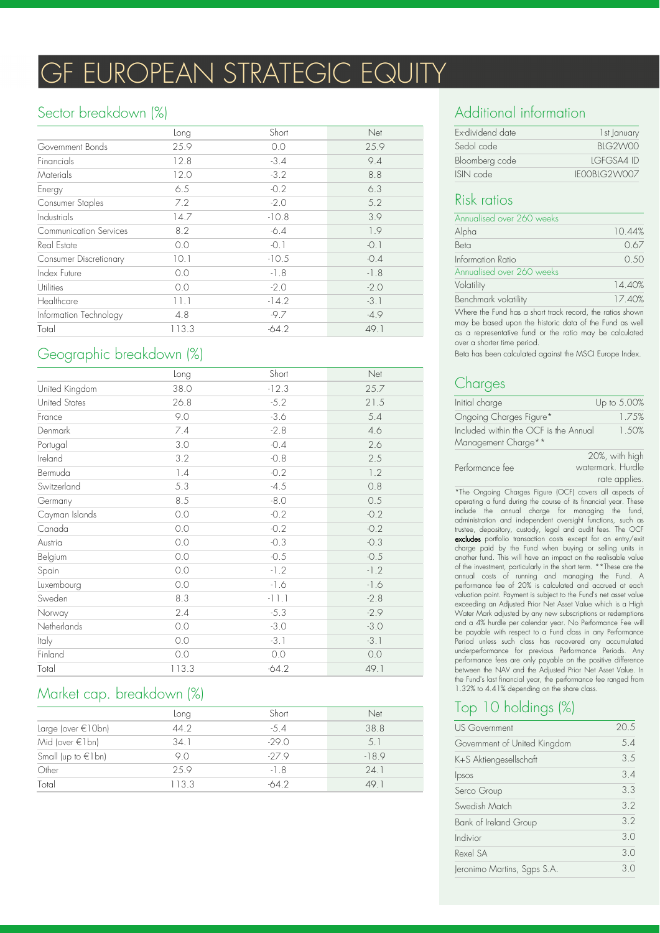# **GF EUROPEAN STRATEGIC EQUITY**

### Sector breakdown (%)

|                               | Long  | Short   | Net    |
|-------------------------------|-------|---------|--------|
| Government Bonds              | 25.9  | 0.0     | 25.9   |
| Financials                    | 12.8  | $-3.4$  | 9.4    |
| Materials                     | 12.0  | $-3.2$  | 8.8    |
| Energy                        | 6.5   | $-0.2$  | 6.3    |
| Consumer Staples              | 7.2   | $-2.0$  | 5.2    |
| <b>Industrials</b>            | 14.7  | $-10.8$ | 3.9    |
| <b>Communication Services</b> | 8.2   | $-6.4$  | 1.9    |
| Real Estate                   | 0.0   | $-0.1$  | $-0.1$ |
| <b>Consumer Discretionary</b> | 10.1  | $-10.5$ | $-0.4$ |
| Index Future                  | 0.0   | $-1.8$  | $-1.8$ |
| Utilities                     | 0.0   | $-2.0$  | $-2.0$ |
| Healthcare                    | 11.1  | $-14.2$ | $-3.1$ |
| Information Technology        | 4.8   | $-9.7$  | $-4.9$ |
| Total                         | 113.3 | $-64.2$ | 49.1   |

# Geographic breakdown (%)

|                | Long    | Short   | Net    |
|----------------|---------|---------|--------|
| United Kingdom | 38.0    | $-12.3$ | 25.7   |
| United States  | 26.8    | $-5.2$  | 21.5   |
| France         | 9.0     | $-3.6$  | 5.4    |
| Denmark        | $7.4\,$ | $-2.8$  | 4.6    |
| Portugal       | 3.0     | $-0.4$  | 2.6    |
| Ireland        | 3.2     | $-0.8$  | 2.5    |
| Bermuda        | 1.4     | $-0.2$  | 1.2    |
| Switzerland    | 5.3     | $-4.5$  | 0.8    |
| Germany        | 8.5     | $-8.0$  | 0.5    |
| Cayman Islands | 0.0     | $-0.2$  | $-0.2$ |
| Canada         | $0.0$   | $-0.2$  | $-0.2$ |
| Austria        | $0.0$   | $-0.3$  | $-0.3$ |
| Belgium        | 0.0     | $-0.5$  | $-0.5$ |
| Spain          | 0.0     | $-1.2$  | $-1.2$ |
| Luxembourg     | 0.0     | $-1.6$  | $-1.6$ |
| Sweden         | 8.3     | $-11.1$ | $-2.8$ |
| Norway         | 2.4     | $-5.3$  | $-2.9$ |
| Netherlands    | 0.0     | $-3.0$  | $-3.0$ |
| Italy          | 0.0     | $-3.1$  | $-3.1$ |
| Finland        | $0.0$   | 0.0     | $0.0$  |
| Total          | 113.3   | $-64.2$ | 49.1   |

# Market cap. breakdown (%)

|                          | Long  | Short   | Net     |
|--------------------------|-------|---------|---------|
| Large (over €10bn)       | 44.2  | $-5.4$  | 38.8    |
| Mid (over $\in$ 1 bn)    | 34.1  | $-29.0$ | 5.1     |
| Small (up to $\in$ 1 bn) | 9.0   | $-27.9$ | $-18.9$ |
| Other                    | 25.9  | $-1.8$  | 24.1    |
| Total                    | 113.3 | -64 2   | 49.1    |

# Additional information

| Ex-dividend date | 1st January       |
|------------------|-------------------|
| Sedol code       | BIG2W00           |
| Bloomberg code   | <b>IGEGSA4 ID</b> |
| ISIN code        | IFOOBLG2WOOZ      |

### Risk ratios

| Annualised over 260 weeks                                                                                            |        |
|----------------------------------------------------------------------------------------------------------------------|--------|
| Alpha                                                                                                                | 10.44% |
| Beta                                                                                                                 | 0.67   |
| Information Ratio                                                                                                    | 0.50   |
| Annualised over 260 weeks                                                                                            |        |
| Volatility                                                                                                           | 14.40% |
| Benchmark volatility                                                                                                 | 17.40% |
| Where the Fund has a short track record, the ratios shown<br>may be based upon the bistoric data of the Eund as well |        |

may be based upon the historic data of the Fund as as a representative fund or the ratio may be calculated over a shorter time period.

Beta has been calculated against the MSCI Europe Index.

# **Charges**

| Initial charge                                               | Up to 5.00% |
|--------------------------------------------------------------|-------------|
| Ongoing Charges Figure*                                      | 1.75%       |
| Included within the OCF is the Annual<br>Management Charge** | 1.50%       |
|                                                              |             |

|                 | 20%, with high    |
|-----------------|-------------------|
| Performance fee | watermark. Hurdle |
|                 | rate applies.     |

\*The Ongoing Charges Figure (OCF) covers all aspects of operating a fund during the course of its financial year. These include the annual charge for managing the fund, administration and independent oversight functions, such as trustee, depository, custody, legal and audit fees. The OCF excludes portfolio transaction costs except for an entry/exit charge paid by the Fund when buying or selling units in another fund. This will have an impact on the realisable value of the investment, particularly in the short term. \*\*These are the annual costs of running and managing the Fund. A performance fee of 20% is calculated and accrued at each valuation point. Payment is subject to the Fund's net asset value exceeding an Adjusted Prior Net Asset Value which is a High Water Mark adjusted by any new subscriptions or redemptions and a 4% hurdle per calendar year. No Performance Fee will be payable with respect to a Fund class in any Performance Period unless such class has recovered any accumulated underperformance for previous Performance Periods. Any performance fees are only payable on the positive difference between the NAV and the Adjusted Prior Net Asset Value. In the Fund's last financial year, the performance fee ranged from 1.32% to 4.41% depending on the share class.

# Top 10 holdings (%)

| <b>US Government</b>         | 20.5 |
|------------------------------|------|
| Government of United Kingdom | 5.4  |
| K+S Aktiengesellschaft       | 3.5  |
| Ipsos                        | 3.4  |
| Serco Group                  | 3.3  |
| Swedish Match                | 3.2  |
| Bank of Ireland Group        | 3.2  |
| Indivior                     | 3.0  |
| Rexel SA                     | 3.0  |
| Jeronimo Martins, Sgps S.A.  | 3.0  |